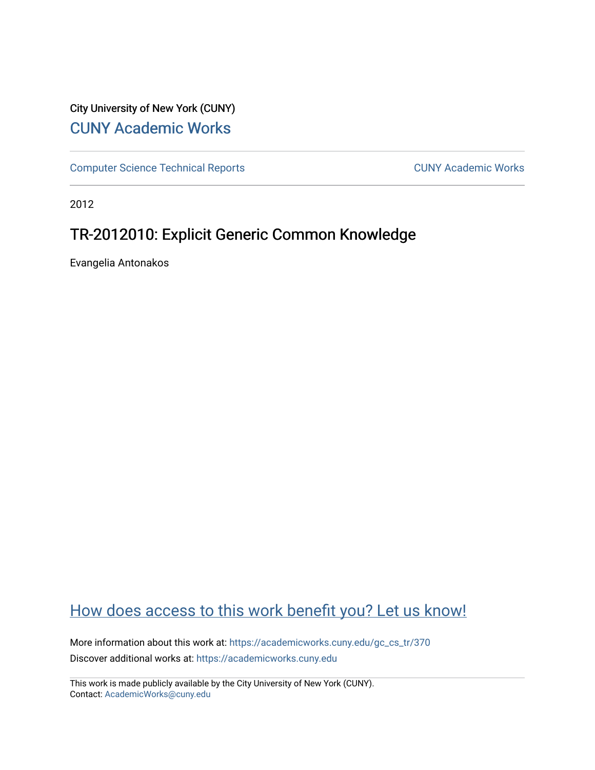## City University of New York (CUNY) [CUNY Academic Works](https://academicworks.cuny.edu/)

[Computer Science Technical Reports](https://academicworks.cuny.edu/gc_cs_tr) **CUNY Academic Works** CUNY Academic Works

2012

# TR-2012010: Explicit Generic Common Knowledge

Evangelia Antonakos

# [How does access to this work benefit you? Let us know!](http://ols.cuny.edu/academicworks/?ref=https://academicworks.cuny.edu/gc_cs_tr/370)

More information about this work at: [https://academicworks.cuny.edu/gc\\_cs\\_tr/370](https://academicworks.cuny.edu/gc_cs_tr/370)  Discover additional works at: [https://academicworks.cuny.edu](https://academicworks.cuny.edu/?)

This work is made publicly available by the City University of New York (CUNY). Contact: [AcademicWorks@cuny.edu](mailto:AcademicWorks@cuny.edu)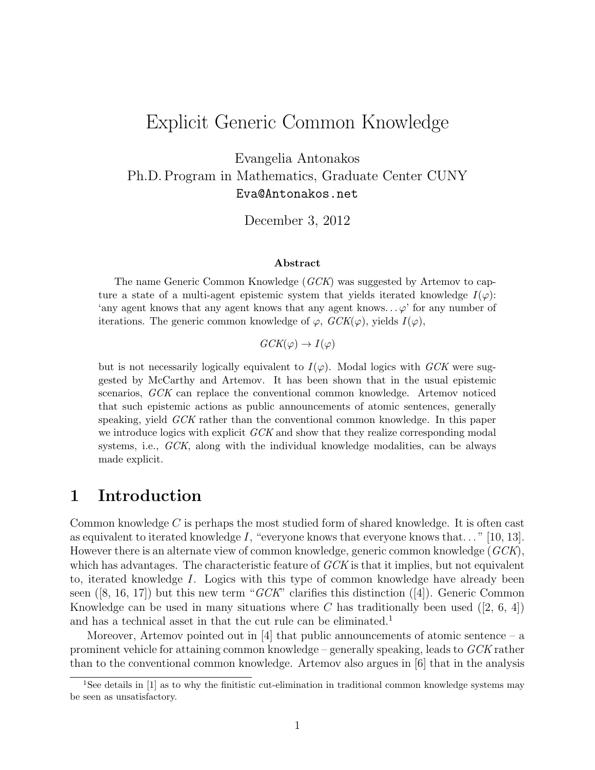# Explicit Generic Common Knowledge

Evangelia Antonakos Ph.D. Program in Mathematics, Graduate Center CUNY Eva@Antonakos.net

December 3, 2012

#### Abstract

The name Generic Common Knowledge (GCK) was suggested by Artemov to capture a state of a multi-agent epistemic system that yields iterated knowledge  $I(\varphi)$ : 'any agent knows that any agent knows that any agent knows... $\varphi$ ' for any number of iterations. The generic common knowledge of  $\varphi$ ,  $GCK(\varphi)$ , yields  $I(\varphi)$ ,

 $GCK(\varphi) \rightarrow I(\varphi)$ 

but is not necessarily logically equivalent to  $I(\varphi)$ . Modal logics with GCK were suggested by McCarthy and Artemov. It has been shown that in the usual epistemic scenarios, GCK can replace the conventional common knowledge. Artemov noticed that such epistemic actions as public announcements of atomic sentences, generally speaking, yield GCK rather than the conventional common knowledge. In this paper we introduce logics with explicit GCK and show that they realize corresponding modal systems, i.e., GCK, along with the individual knowledge modalities, can be always made explicit.

### 1 Introduction

Common knowledge C is perhaps the most studied form of shared knowledge. It is often cast as equivalent to iterated knowledge  $I$ , "everyone knows that everyone knows that..." [10, 13]. However there is an alternate view of common knowledge, generic common knowledge (GCK), which has advantages. The characteristic feature of GCK is that it implies, but not equivalent to, iterated knowledge I. Logics with this type of common knowledge have already been seen  $([8, 16, 17])$  but this new term "GCK" clarifies this distinction  $([4])$ . Generic Common Knowledge can be used in many situations where C has traditionally been used  $(2, 6, 4)$ and has a technical asset in that the cut rule can be eliminated.<sup>1</sup>

Moreover, Artemov pointed out in  $[4]$  that public announcements of atomic sentence – a prominent vehicle for attaining common knowledge – generally speaking, leads to GCK rather than to the conventional common knowledge. Artemov also argues in [6] that in the analysis

<sup>&</sup>lt;sup>1</sup>See details in [1] as to why the finitistic cut-elimination in traditional common knowledge systems may be seen as unsatisfactory.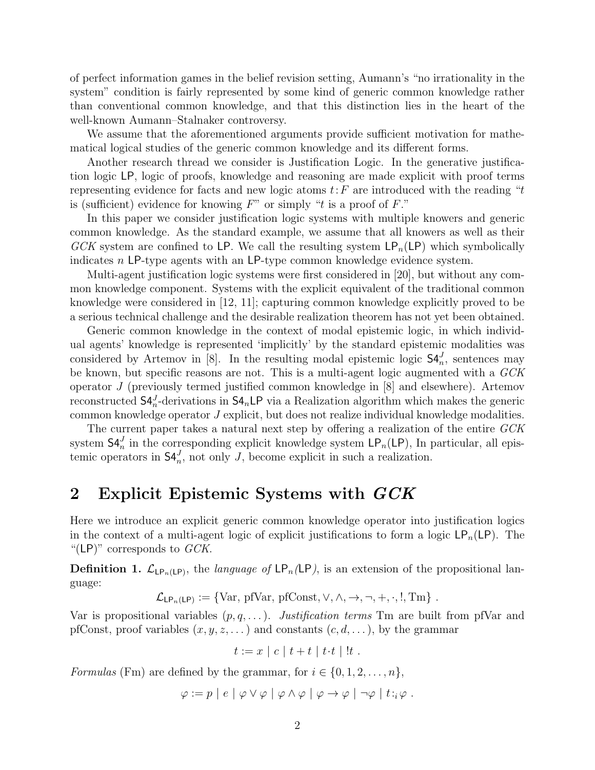of perfect information games in the belief revision setting, Aumann's "no irrationality in the system" condition is fairly represented by some kind of generic common knowledge rather than conventional common knowledge, and that this distinction lies in the heart of the well-known Aumann–Stalnaker controversy.

We assume that the aforementioned arguments provide sufficient motivation for mathematical logical studies of the generic common knowledge and its different forms.

Another research thread we consider is Justification Logic. In the generative justification logic LP, logic of proofs, knowledge and reasoning are made explicit with proof terms representing evidence for facts and new logic atoms  $t$ :  $F$  are introduced with the reading "t is (sufficient) evidence for knowing  $F''$  or simply "t is a proof of  $F$ ."

In this paper we consider justification logic systems with multiple knowers and generic common knowledge. As the standard example, we assume that all knowers as well as their GCK system are confined to LP. We call the resulting system  $\mathsf{LP}_n(\mathsf{LP})$  which symbolically indicates n LP-type agents with an LP-type common knowledge evidence system.

Multi-agent justification logic systems were first considered in [20], but without any common knowledge component. Systems with the explicit equivalent of the traditional common knowledge were considered in [12, 11]; capturing common knowledge explicitly proved to be a serious technical challenge and the desirable realization theorem has not yet been obtained.

Generic common knowledge in the context of modal epistemic logic, in which individual agents' knowledge is represented 'implicitly' by the standard epistemic modalities was considered by Artemov in [8]. In the resulting modal epistemic logic  $\mathsf{S4}_{n}^{J}$ , sentences may be known, but specific reasons are not. This is a multi-agent logic augmented with a GCK operator J (previously termed justified common knowledge in [8] and elsewhere). Artemov reconstructed  $S4_n^J$ -derivations in  $S4_n$ LP via a Realization algorithm which makes the generic common knowledge operator J explicit, but does not realize individual knowledge modalities.

The current paper takes a natural next step by offering a realization of the entire GCK system  $\mathsf{S4}_{n}^{J}$  in the corresponding explicit knowledge system  $\mathsf{LP}_{n}(\mathsf{LP})$ , In particular, all epistemic operators in  $\mathsf{S4}_{n}^{J}$ , not only J, become explicit in such a realization.

#### 2 Explicit Epistemic Systems with GCK

Here we introduce an explicit generic common knowledge operator into justification logics in the context of a multi-agent logic of explicit justifications to form a logic  $\mathsf{LP}_n(\mathsf{LP})$ . The "(LP)" corresponds to  $GCK$ .

**Definition 1.**  $\mathcal{L}_{LP_n(LP)}$ , the *language of*  $\mathsf{LP}_n(\mathsf{LP})$ , is an extension of the propositional language:

$$
\mathcal{L}_{\mathsf{LP}_n(\mathsf{LP})} := \{ \text{Var}, \, \text{pfVar}, \, \text{pfConst}, \vee, \wedge, \rightarrow, \neg, +, \cdot, \cdot, \text{Tm} \} \; .
$$

Var is propositional variables  $(p, q, \ldots)$ . Justification terms Tm are built from pfVar and pfConst, proof variables  $(x, y, z, ...)$  and constants  $(c, d, ...)$ , by the grammar

$$
t := x \mid c \mid t + t \mid t \cdot t \mid !t \; .
$$

Formulas (Fm) are defined by the grammar, for  $i \in \{0, 1, 2, \ldots, n\}$ ,

$$
\varphi := p \mid e \mid \varphi \vee \varphi \mid \varphi \wedge \varphi \mid \varphi \rightarrow \varphi \mid \neg \varphi \mid t :_{i} \varphi.
$$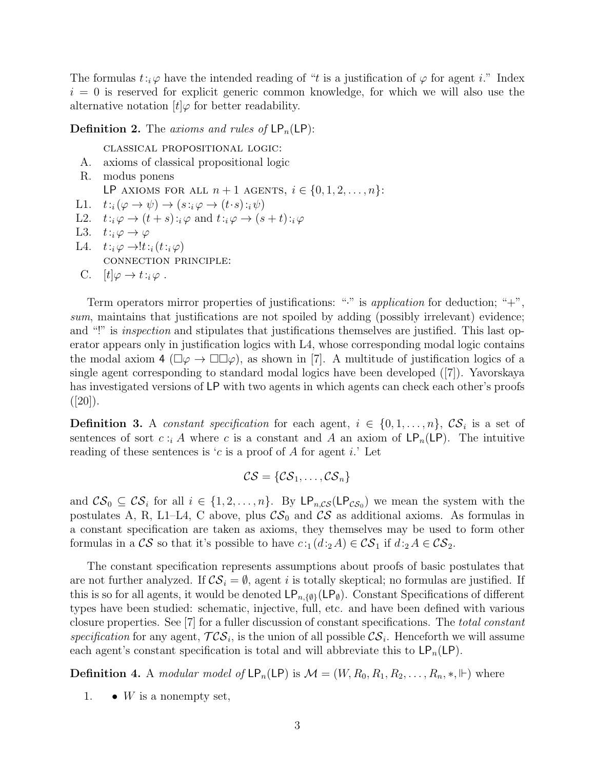The formulas  $t:_{i}\varphi$  have the intended reading of "t is a justification of  $\varphi$  for agent i." Index  $i = 0$  is reserved for explicit generic common knowledge, for which we will also use the alternative notation  $[t] \varphi$  for better readability.

**Definition 2.** The axioms and rules of  $\mathsf{LP}_n(\mathsf{LP})$ :

classical propositional logic:

- A. axioms of classical propositional logic
- R. modus ponens
- LP AXIOMS FOR ALL  $n+1$  AGENTS,  $i \in \{0,1,2,\ldots,n\}$ :
- L1.  $t:_{i}(\varphi \rightarrow \psi) \rightarrow (s:_{i}\varphi \rightarrow (t \cdot s):_{i}\psi)$
- L2.  $t:_{i} \varphi \rightarrow (t+s):_{i} \varphi$  and  $t:_{i} \varphi \rightarrow (s+t):_{i} \varphi$
- L3.  $t:_{i}\varphi\rightarrow\varphi$
- L4.  $t:_{i} \varphi \rightarrow !t:_{i}(t:_{i} \varphi)$ connection principle:
- C.  $[t] \varphi \rightarrow t :_{i} \varphi$ .

Term operators mirror properties of justifications: " $\cdot$ " is application for deduction; " $+\,$ ", sum, maintains that justifications are not spoiled by adding (possibly irrelevant) evidence; and "!" is *inspection* and stipulates that justifications themselves are justified. This last operator appears only in justification logics with L4, whose corresponding modal logic contains the modal axiom 4 ( $\Box \varphi \rightarrow \Box \Box \varphi$ ), as shown in [7]. A multitude of justification logics of a single agent corresponding to standard modal logics have been developed ([7]). Yavorskaya has investigated versions of LP with two agents in which agents can check each other's proofs  $([20])$ .

**Definition 3.** A constant specification for each agent,  $i \in \{0, 1, \ldots, n\}$ ,  $\mathcal{CS}_i$  is a set of sentences of sort  $c :_{i} A$  where c is a constant and A an axiom of  $\mathsf{LP}_n(\mathsf{LP})$ . The intuitive reading of these sentences is 'c is a proof of A for agent i.' Let

$$
\mathcal{CS} = \{\mathcal{CS}_1,\ldots,\mathcal{CS}_n\}
$$

and  $\mathcal{CS}_0 \subseteq \mathcal{CS}_i$  for all  $i \in \{1, 2, ..., n\}$ . By  $\mathsf{LP}_{n,\mathcal{CS}}(\mathsf{LP}_{\mathcal{CS}_0})$  we mean the system with the postulates A, R, L1–L4, C above, plus  $\mathcal{CS}_0$  and  $\mathcal{CS}_0$  as additional axioms. As formulas in a constant specification are taken as axioms, they themselves may be used to form other formulas in a  $\mathcal{CS}$  so that it's possible to have  $c:_{1} (d:_{2} A) \in \mathcal{CS}_{1}$  if  $d:_{2} A \in \mathcal{CS}_{2}$ .

The constant specification represents assumptions about proofs of basic postulates that are not further analyzed. If  $\mathcal{CS}_i = \emptyset$ , agent i is totally skeptical; no formulas are justified. If this is so for all agents, it would be denoted  $\mathsf{LP}_{n,\{\emptyset\}}(\mathsf{LP}_{\emptyset})$ . Constant Specifications of different types have been studied: schematic, injective, full, etc. and have been defined with various closure properties. See [7] for a fuller discussion of constant specifications. The total constant specification for any agent,  $TCS_i$ , is the union of all possible  $CS_i$ . Henceforth we will assume each agent's constant specification is total and will abbreviate this to  $\mathsf{LP}_n(\mathsf{LP})$ .

**Definition 4.** A *modular model of*  $\text{LP}_n(\text{LP})$  is  $\mathcal{M} = (W, R_0, R_1, R_2, \ldots, R_n, \ast, \Vdash)$  where

1.  $\bullet$  W is a nonempty set,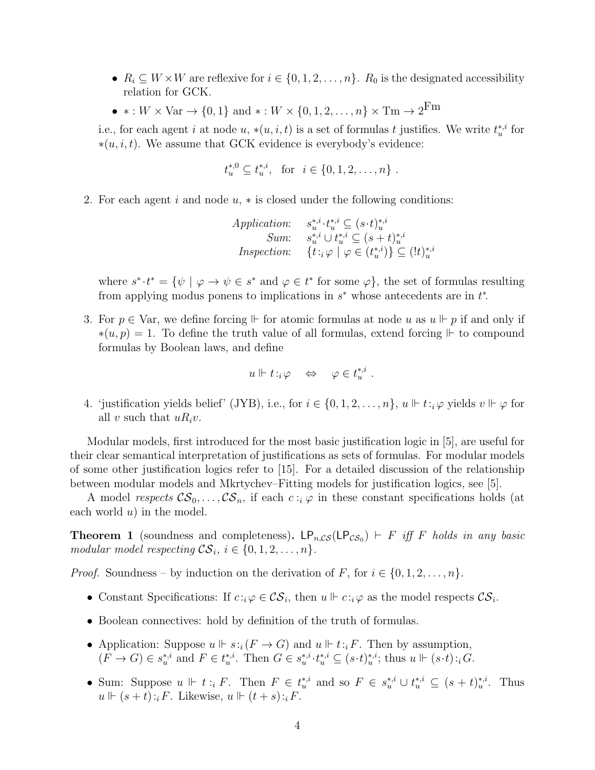- $R_i \subseteq W \times W$  are reflexive for  $i \in \{0, 1, 2, \ldots, n\}$ .  $R_0$  is the designated accessibility relation for GCK.
- $* : W \times \text{Var} \to \{0, 1\}$  and  $* : W \times \{0, 1, 2, \ldots, n\} \times \text{Tr} \to 2^{\text{Fm}}$

i.e., for each agent i at node  $u, * (u, i, t)$  is a set of formulas t justifies. We write  $t_u^{*,i}$  for  $*(u, i, t)$ . We assume that GCK evidence is everybody's evidence:

$$
t_u^{*,0} \subseteq t_u^{*,i}
$$
, for  $i \in \{0, 1, 2, ..., n\}$ .

2. For each agent i and node  $u, *$  is closed under the following conditions:

$$
Application: \quad s_u^{*,i} \cdot t_u^{*,i} \subseteq (s \cdot t)_u^{*,i}
$$
  
\n
$$
Sum: \quad s_u^{*,i} \cup t_u^{*,i} \subseteq (s+t)_u^{*,i}
$$
  
\n
$$
Inspection: \quad \{t : i \varphi \mid \varphi \in (t_u^{*,i})\} \subseteq (lt)_u^{*,i}
$$

where  $s^* \cdot t^* = \{ \psi \mid \varphi \to \psi \in s^* \text{ and } \varphi \in t^* \text{ for some } \varphi \},\$  the set of formulas resulting from applying modus ponens to implications in  $s^*$  whose antecedents are in  $t^*$ .

3. For  $p \in \text{Var}$ , we define forcing  $\Vdash$  for atomic formulas at node u as  $u \Vdash p$  if and only if  $*(u, p) = 1$ . To define the truth value of all formulas, extend forcing  $\mathbb{F}$  to compound formulas by Boolean laws, and define

$$
u \Vdash t :_{i} \varphi \quad \Leftrightarrow \quad \varphi \in t_{u}^{*,i} .
$$

4. 'justification yields belief' (JYB), i.e., for  $i \in \{0, 1, 2, ..., n\}$ ,  $u \Vdash t : \varphi$  yields  $v \Vdash \varphi$  for all v such that  $uR_i v$ .

Modular models, first introduced for the most basic justification logic in [5], are useful for their clear semantical interpretation of justifications as sets of formulas. For modular models of some other justification logics refer to [15]. For a detailed discussion of the relationship between modular models and Mkrtychev–Fitting models for justification logics, see [5].

A model respects  $\mathcal{CS}_0, \ldots, \mathcal{CS}_n$ , if each  $c : i \varphi$  in these constant specifications holds (at each world  $u$ ) in the model.

**Theorem 1** (soundness and completeness).  $LP_{n,\mathcal{CS}}(LP_{\mathcal{CS}_0})$   $\vdash$  F iff F holds in any basic modular model respecting  $\mathcal{CS}_i$ ,  $i \in \{0, 1, 2, \ldots, n\}.$ 

*Proof.* Soundness – by induction on the derivation of F, for  $i \in \{0, 1, 2, \ldots, n\}$ .

- Constant Specifications: If  $c : \varphi \in \mathcal{CS}_i$ , then  $u \Vdash c : \varphi$  as the model respects  $\mathcal{CS}_i$ .
- Boolean connectives: hold by definition of the truth of formulas.
- Application: Suppose  $u \Vdash s : i(F \to G)$  and  $u \Vdash t : iF$ . Then by assumption,  $(F \to G) \in s_u^{*,i}$  and  $F \in t_u^{*,i}$ . Then  $G \in s_u^{*,i} \cdot t_u^{*,i} \subseteq (s \cdot t)_u^{*,i}$ ; thus  $u \Vdash (s \cdot t) :_i G$ .
- Sum: Suppose  $u \Vdash t : i \in F$ . Then  $F \in t_{u}^{*,i}$  and so  $F \in s_{u}^{*,i} \cup t_{u}^{*,i} \subseteq (s+t)_{u}^{*,i}$ . Thus  $u \Vdash (s + t):_i F$ . Likewise,  $u \Vdash (t + s):_i F$ .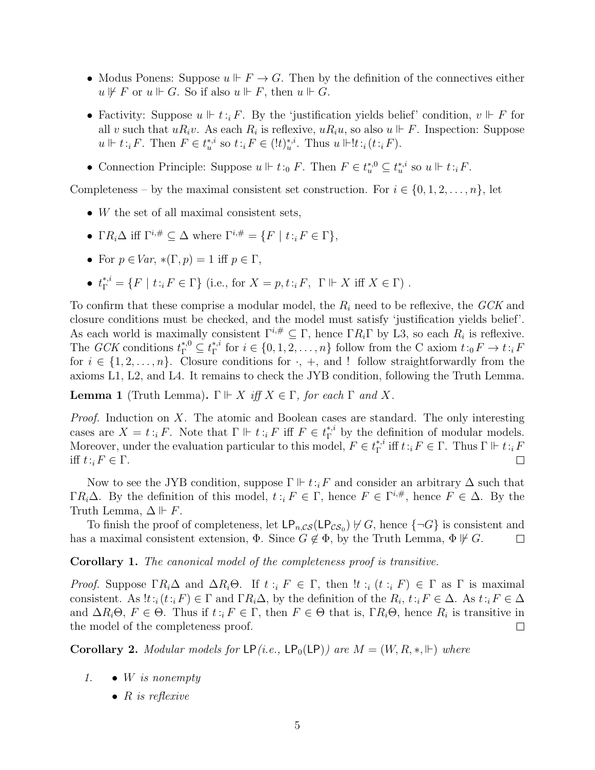- Modus Ponens: Suppose  $u \Vdash F \to G$ . Then by the definition of the connectives either  $u \not\Vdash F$  or  $u \Vdash G$ . So if also  $u \Vdash F$ , then  $u \Vdash G$ .
- Factivity: Suppose  $u \Vdash t : i \in F$ . By the 'justification yields belief' condition,  $v \Vdash F$  for all v such that  $uR_i v$ . As each  $R_i$  is reflexive,  $uR_i u$ , so also  $u \Vdash F$ . Inspection: Suppose  $u \Vdash t : iF$ . Then  $F \in t_u^{*,i}$  so  $t : iF \in (!t)_u^{*,i}$ . Thus  $u \Vdash !t : i(t : iF)$ .
- Connection Principle: Suppose  $u \Vdash t :_0 F$ . Then  $F \in t_u^{*,0} \subseteq t_u^{*,i}$  so  $u \Vdash t :_i F$ .

Completeness – by the maximal consistent set construction. For  $i \in \{0, 1, 2, \ldots, n\}$ , let

- W the set of all maximal consistent sets,
- Γ $R_i\Delta$  iff  $\Gamma^{i,\#}\subset \Delta$  where  $\Gamma^{i,\#}=\{F \mid t :_i F \in \Gamma\},$
- For  $p \in Var$ ,  $*(\Gamma, p) = 1$  iff  $p \in \Gamma$ ,
- $t_{\Gamma}^{*,i} = \{F \mid t : {}_{i}F \in \Gamma\}$  (i.e., for  $X = p, t : {}_{i}F, \Gamma \Vdash X$  iff  $X \in \Gamma$ ).

To confirm that these comprise a modular model, the  $R_i$  need to be reflexive, the  $GCK$  and closure conditions must be checked, and the model must satisfy 'justification yields belief'. As each world is maximally consistent  $\Gamma^{i,\#} \subseteq \Gamma$ , hence  $\Gamma R_i \Gamma$  by L3, so each  $R_i$  is reflexive. The *GCK* conditions  $t_{\Gamma}^{*,0} \subseteq t_{\Gamma}^{*,i}$ <sup>\*,*i*</sup> for  $i \in \{0, 1, 2, ..., n\}$  follow from the C axiom  $t : {}_0F \to t : {}_iF$ for  $i \in \{1, 2, \ldots, n\}$ . Closure conditions for  $\cdot$ ,  $+$ , and ! follow straightforwardly from the axioms L1, L2, and L4. It remains to check the JYB condition, following the Truth Lemma.

**Lemma 1** (Truth Lemma).  $\Gamma \Vdash X$  iff  $X \in \Gamma$ , for each  $\Gamma$  and X.

Proof. Induction on X. The atomic and Boolean cases are standard. The only interesting cases are  $X = t : i \in F$ . Note that  $\Gamma \Vdash t : i \in F$  iff  $F \in t^*$  by the definition of modular models. Moreover, under the evaluation particular to this model,  $F \in t_{\Gamma}^{*,i}$ <sup>\*,*i*</sup> iff  $t : i F \in \Gamma$ . Thus  $\Gamma \Vdash t : i F$ iff  $t: i F \in \Gamma$ .  $\Box$ 

Now to see the JYB condition, suppose  $\Gamma \Vdash t : iF$  and consider an arbitrary  $\Delta$  such that  $\Gamma R_i \Delta$ . By the definition of this model,  $t : i F \in \Gamma$ , hence  $F \in \Gamma^{i,\#}$ , hence  $F \in \Delta$ . By the Truth Lemma,  $\Delta \Vdash F$ .

To finish the proof of completeness, let  $\mathsf{LP}_{n,\mathcal{CS}}(\mathsf{LP}_{\mathcal{CS}_0}) \not\vdash G$ , hence  $\{\neg G\}$  is consistent and has a maximal consistent extension,  $\Phi$ . Since  $G \notin \Phi$ , by the Truth Lemma,  $\Phi \not\vdash G$ .  $\Box$ 

Corollary 1. The canonical model of the completeness proof is transitive.

Proof. Suppose  $\Gamma R_i \Delta$  and  $\Delta R_i \Theta$ . If  $t : i \in F \in \Gamma$ , then  $\exists t : i \in F$   $\in \Gamma$  as  $\Gamma$  is maximal consistent. As  $!t_{i}(t_{i}F) \in \Gamma$  and  $\Gamma R_i \Delta$ , by the definition of the  $R_i, t_{i}F \in \Delta$ . As  $t_{i}F \in \Delta$ and  $\Delta R_i\Theta$ ,  $F \in \Theta$ . Thus if  $t : i F \in \Gamma$ , then  $F \in \Theta$  that is,  $\Gamma R_i\Theta$ , hence  $R_i$  is transitive in the model of the completeness proof.  $\Box$ 

**Corollary 2.** Modular models for  $\textsf{LP}(i.e., \textsf{LP}_0(\textsf{LP}))$  are  $M = (W, R, *, \Vdash)$  where

- 1.  $\bullet$  W is nonempty
	- $R$  is reflexive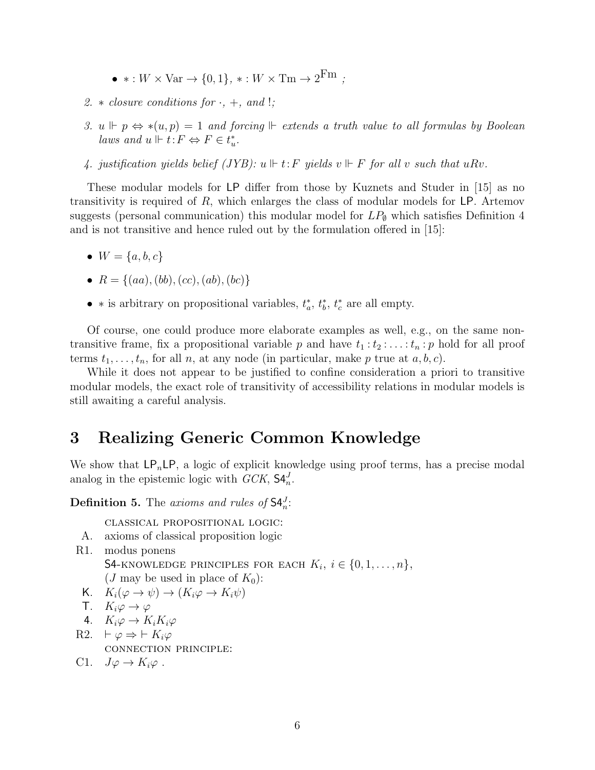- $* : W \times \text{Var} \rightarrow \{0, 1\}, * : W \times \text{Trm} \rightarrow 2^{\text{Fm}};$
- 2.  $\ast$  closure conditions for  $\cdot$ ,  $+$ , and !;
- 3.  $u \Vdash p \Leftrightarrow *(u, p) = 1$  and forcing  $\Vdash$  extends a truth value to all formulas by Boolean laws and  $u \Vdash t$ :  $F \Leftrightarrow F \in t_u^*$ .
- 4. justification yields belief (JYB):  $u \Vdash t$ : F yields  $v \Vdash F$  for all v such that uRv.

These modular models for LP differ from those by Kuznets and Studer in [15] as no transitivity is required of  $R$ , which enlarges the class of modular models for LP. Artemov suggests (personal communication) this modular model for  $LP_{\emptyset}$  which satisfies Definition 4 and is not transitive and hence ruled out by the formulation offered in [15]:

- $W = \{a, b, c\}$
- $R = \{(aa), (bb), (cc), (ab), (bc)\}\$
- \* is arbitrary on propositional variables,  $t_a^*, t_b^*, t_c^*$  are all empty.

Of course, one could produce more elaborate examples as well, e.g., on the same nontransitive frame, fix a propositional variable p and have  $t_1 : t_2 : \ldots : t_n : p$  hold for all proof terms  $t_1, \ldots, t_n$ , for all n, at any node (in particular, make p true at  $a, b, c$ ).

While it does not appear to be justified to confine consideration a priori to transitive modular models, the exact role of transitivity of accessibility relations in modular models is still awaiting a careful analysis.

#### 3 Realizing Generic Common Knowledge

We show that  $\mathsf{LP}_n\mathsf{LP}$ , a logic of explicit knowledge using proof terms, has a precise modal analog in the epistemic logic with  $GCK$ ,  $\mathsf{S4}_{n}^{J}$ .

**Definition 5.** The axioms and rules of  $\mathsf{S4}_{n}^{J}$ :

classical propositional logic:

A. axioms of classical proposition logic

R1. modus ponens S4-KNOWLEDGE PRINCIPLES FOR EACH  $K_i$ ,  $i \in \{0, 1, \ldots, n\}$ , (*J* may be used in place of  $K_0$ ):

- K.  $K_i(\varphi \to \psi) \to (K_i\varphi \to K_i\psi)$
- T.  $K_i\varphi \to \varphi$
- 4.  $K_i\varphi \to K_iK_i\varphi$
- R2.  $\vdash \varphi \Rightarrow \vdash K_i\varphi$ connection principle:
- C1.  $J\varphi \to K_i\varphi$ .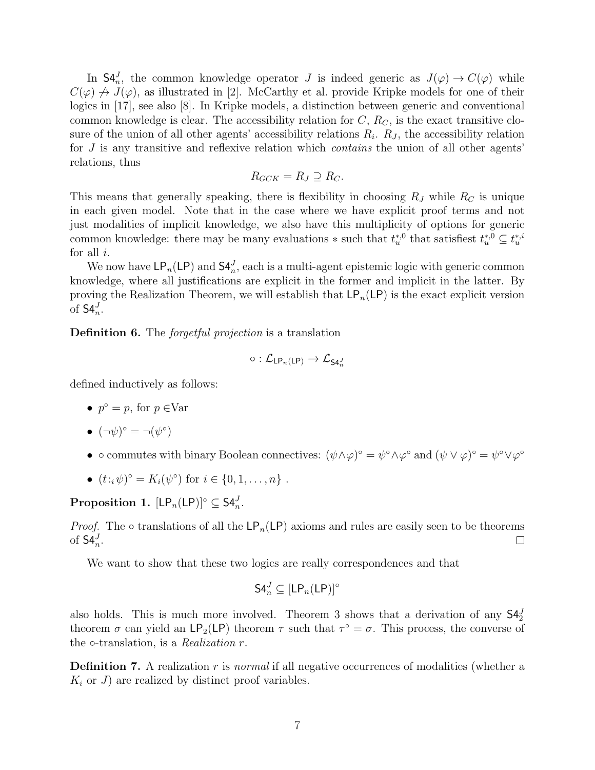In  $\mathsf{S4}_{n}^{J}$ , the common knowledge operator J is indeed generic as  $J(\varphi) \to C(\varphi)$  while  $C(\varphi) \nrightarrow J(\varphi)$ , as illustrated in [2]. McCarthy et al. provide Kripke models for one of their logics in [17], see also [8]. In Kripke models, a distinction between generic and conventional common knowledge is clear. The accessibility relation for  $C, R<sub>C</sub>$ , is the exact transitive closure of the union of all other agents' accessibility relations  $R_i$ .  $R_j$ , the accessibility relation for  $J$  is any transitive and reflexive relation which *contains* the union of all other agents' relations, thus

$$
R_{GCK} = R_J \supseteq R_C.
$$

This means that generally speaking, there is flexibility in choosing  $R_J$  while  $R_C$  is unique in each given model. Note that in the case where we have explicit proof terms and not just modalities of implicit knowledge, we also have this multiplicity of options for generic common knowledge: there may be many evaluations  $*$  such that  $t_u^{*,0}$  that satisfiest  $t_u^{*,0} \subseteq t_u^{*,i}$ for all  $i$ .

We now have  $\mathsf{LP}_n(\mathsf{LP})$  and  $\mathsf{S4}_n^J$ , each is a multi-agent epistemic logic with generic common knowledge, where all justifications are explicit in the former and implicit in the latter. By proving the Realization Theorem, we will establish that  $\mathsf{LP}_n(\mathsf{LP})$  is the exact explicit version of  $\mathsf{S4}_n^J$ .

Definition 6. The *forgetful projection* is a translation

$$
\circ : \mathcal{L}_{\mathsf{LP}_n(\mathsf{LP})} \rightarrow \mathcal{L}_{\mathsf{S4}_n^J}
$$

defined inductively as follows:

•  $p^{\circ} = p$ , for  $p \in \text{Var}$ 

$$
\bullet \ (\neg \psi)^{\circ} = \neg(\psi^{\circ})
$$

- $\circ$  commutes with binary Boolean connectives:  $(\psi \wedge \varphi)^{\circ} = \psi^{\circ} \wedge \varphi^{\circ}$  and  $(\psi \vee \varphi)^{\circ} = \psi^{\circ} \vee \varphi^{\circ}$
- $(t : i\psi)^{\circ} = K_i(\psi^{\circ})$  for  $i \in \{0, 1, ..., n\}$ .

Proposition 1.  $[\mathsf{LP}_n(\mathsf{LP})]^\circ \subseteq \mathsf{S4}_n^J$ .

*Proof.* The  $\circ$  translations of all the LP<sub>n</sub>(LP) axioms and rules are easily seen to be theorems of  $\mathsf{S4}_n^J$ .  $\Box$ 

We want to show that these two logics are really correspondences and that

$$
\mathsf{S4}_n^J\subseteq[\mathsf{LP}_n(\mathsf{LP})]^\circ
$$

also holds. This is much more involved. Theorem 3 shows that a derivation of any  $\mathsf{S4}^{J}_{2}$ theorem  $\sigma$  can yield an  $\mathsf{LP}_2(\mathsf{LP})$  theorem  $\tau$  such that  $\tau^{\circ} = \sigma$ . This process, the converse of the  $\circ$ -translation, is a *Realization r*.

**Definition 7.** A realization r is normal if all negative occurrences of modalities (whether a  $K_i$  or J) are realized by distinct proof variables.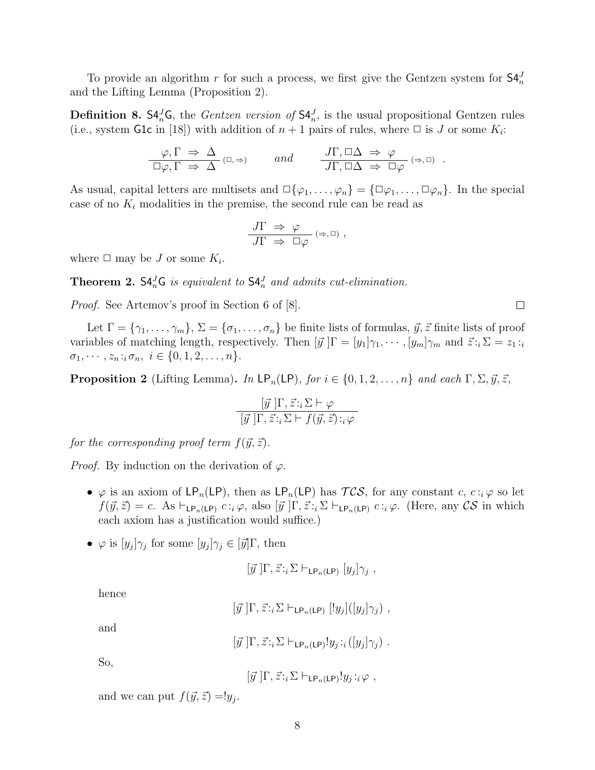To provide an algorithm r for such a process, we first give the Gentzen system for  $\mathsf{S4}_{n}^{J}$ and the Lifting Lemma (Proposition 2).

**Definition 8.**  $\mathsf{S4}_{n}^{J} \mathsf{G}$ , the *Gentzen version of*  $\mathsf{S4}_{n}^{J}$ , is the usual propositional Gentzen rules (i.e., system G1c in [18]) with addition of  $n+1$  pairs of rules, where  $\Box$  is J or some  $K_i$ :

$$
\frac{\varphi, \Gamma \Rightarrow \Delta}{\Box \varphi, \Gamma \Rightarrow \Delta} \quad (\Box, \Rightarrow) \quad and \quad \frac{J\Gamma, \Box \Delta \Rightarrow \varphi}{J\Gamma, \Box \Delta \Rightarrow \Box \varphi} \quad (\Rightarrow, \Box) \quad .
$$

As usual, capital letters are multisets and  $\Box \{\varphi_1, \ldots, \varphi_n\} = {\Box \varphi_1, \ldots, \Box \varphi_n}.$  In the special case of no  $K_i$  modalities in the premise, the second rule can be read as

$$
\frac{J\Gamma\;\Rightarrow\;\varphi}{J\Gamma\;\Rightarrow\;\Box\varphi}\;(\Rightarrow,\Box)\;,
$$

where  $\Box$  may be J or some  $K_i$ .

**Theorem 2.**  $S4_n^J G$  is equivalent to  $S4_n^J$  and admits cut-elimination.

Proof. See Artemov's proof in Section 6 of [8].

Let  $\Gamma = \{\gamma_1, \ldots, \gamma_m\}, \Sigma = \{\sigma_1, \ldots, \sigma_n\}$  be finite lists of formulas,  $\vec{y}, \vec{z}$  finite lists of proof variables of matching length, respectively. Then  $[\vec{y}] \Gamma = [y_1] \gamma_1, \cdots, [y_m] \gamma_m$  and  $\vec{z} : i \Sigma = z_1 : i$  $\sigma_1, \cdots, z_n : i \sigma_n, i \in \{0, 1, 2, \ldots, n\}.$ 

**Proposition 2** (Lifting Lemma). In  $\textsf{LP}_n(\textsf{LP})$ , for  $i \in \{0, 1, 2, ..., n\}$  and each  $\Gamma, \Sigma, \vec{y}, \vec{z}$ ,

$$
\frac{\left[\vec{y}\right]\Gamma, \vec{z} :_{i} \Sigma \vdash \varphi}{\left[\vec{y}\right]\Gamma, \vec{z} :_{i} \Sigma \vdash f(\vec{y}, \vec{z}) :_{i} \varphi}
$$

for the corresponding proof term  $f(\vec{y}, \vec{z})$ .

*Proof.* By induction on the derivation of  $\varphi$ .

- $\varphi$  is an axiom of  $\mathsf{LP}_n(\mathsf{LP})$ , then as  $\mathsf{LP}_n(\mathsf{LP})$  has  $\mathcal{TCS}$ , for any constant c,  $c : i \varphi$  so let  $f(\vec{y}, \vec{z}) = c$ . As  $\vdash_{\mathsf{LP}_n(\mathsf{LP})} c : i \varphi$ , also  $[\vec{y}] \Gamma, \vec{z} : i \Sigma \vdash_{\mathsf{LP}_n(\mathsf{LP})} c : i \varphi$ . (Here, any CS in which each axiom has a justification would suffice.)
- $\varphi$  is  $[y_j]\gamma_j$  for some  $[y_j]\gamma_j \in [\vec{y}]\Gamma$ , then

$$
[\vec{y}]\Gamma, \vec{z} :_{i} \Sigma \vdash_{\mathsf{LP}_n(\mathsf{LP})} [y_j]\gamma_j ,
$$

hence

$$
[\vec{y}]\Gamma, \vec{z} :_{i} \Sigma \vdash_{\mathsf{LP}_n(\mathsf{LP})} [!y_j] ([y_j] \gamma_j) ,
$$

and

$$
[\vec{y}]\Gamma, \vec{z} :_{i} \Sigma \vdash_{\mathsf{LP}_n(\mathsf{LP})} y_j :_{i} ([y_j]\gamma_j) .
$$

So,

$$
[\vec{y}]\Gamma, \vec{z} :_{i} \Sigma \vdash_{\mathsf{LP}_n(\mathsf{LP})} y_j :_{i} \varphi ,
$$

and we can put  $f(\vec{y}, \vec{z}) = !y_j$ .

 $\Box$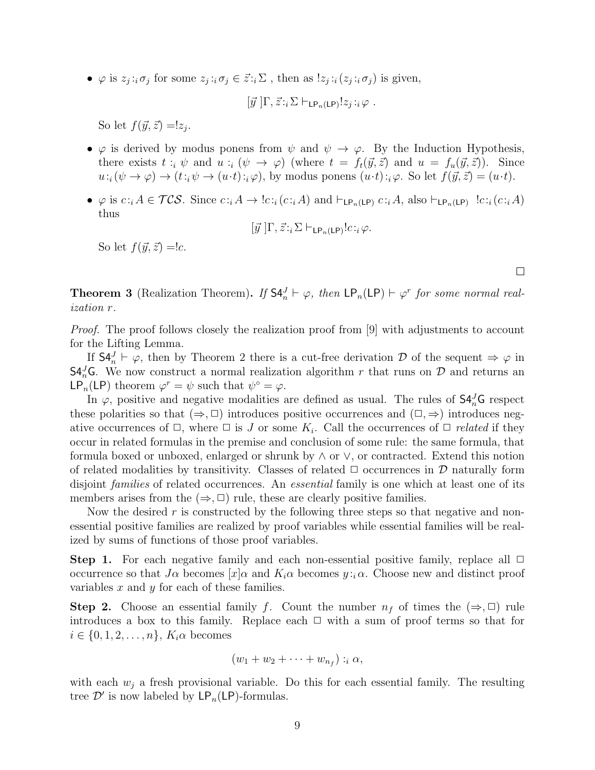•  $\varphi$  is  $z_j :_i \sigma_j$  for some  $z_j :_i \sigma_j \in \mathcal{Z} :_i \Sigma$ , then as  $!z_j :_i (z_j :_i \sigma_j)$  is given,

$$
[\vec{y}]\Gamma, \vec{z} :_{i} \Sigma \vdash_{\mathsf{LP}_n(\mathsf{LP})} !z_j :_{i} \varphi .
$$

So let  $f(\vec{y}, \vec{z}) = z_j$ .

- $\varphi$  is derived by modus ponens from  $\psi$  and  $\psi \to \varphi$ . By the Induction Hypothesis, there exists  $t : i \psi$  and  $u : i \psi \to \varphi$  (where  $t = f_t(\vec{y}, \vec{z})$  and  $u = f_u(\vec{y}, \vec{z})$ ). Since  $u:_{i}(\psi \to \varphi) \to (t:_{i} \psi \to (u \cdot t):_{i} \varphi)$ , by modus ponens  $(u \cdot t):_{i} \varphi$ . So let  $f(\vec{y}, \vec{z}) = (u \cdot t)$ .
- $\varphi$  is  $c :_i A \in \mathcal{TCS}$ . Since  $c :_i A \to \text{!`c}:_i(c :_i A)$  and  $\vdash_{\mathsf{LP}_n(\mathsf{LP})} c :_i A$ , also  $\vdash_{\mathsf{LP}_n(\mathsf{LP})} \text{!`c}:_i(c :_i A)$ thus

$$
[\vec{y}]\Gamma, \vec{z} :_{i} \Sigma \vdash_{\mathsf{LP}_n(\mathsf{LP})} !c :_{i} \varphi.
$$

So let  $f(\vec{y}, \vec{z}) = c$ .

**Theorem 3** (Realization Theorem). If  $S4_n^J \vdash \varphi$ , then  $LP_n(\textsf{LP}) \vdash \varphi^r$  for some normal realization r.

Proof. The proof follows closely the realization proof from [9] with adjustments to account for the Lifting Lemma.

If  $\mathsf{S4}_n^J \vdash \varphi$ , then by Theorem 2 there is a cut-free derivation D of the sequent  $\Rightarrow \varphi$  in **S4**<sup>*I*</sup><sub>*a*</sub>**G**. We now construct a normal realization algorithm r that runs on  $\mathcal{D}$  and returns an LP<sub>n</sub>(LP) theorem  $\varphi^r = \psi$  such that  $\psi^{\circ} = \varphi$ .

In  $\varphi$ , positive and negative modalities are defined as usual. The rules of  $\mathsf{S4}_{n}^{J}$ G respect these polarities so that  $(\Rightarrow, \Box)$  introduces positive occurrences and  $(\Box, \Rightarrow)$  introduces negative occurrences of  $\Box$ , where  $\Box$  is J or some  $K_i$ . Call the occurrences of  $\Box$  related if they occur in related formulas in the premise and conclusion of some rule: the same formula, that formula boxed or unboxed, enlarged or shrunk by ∧ or ∨, or contracted. Extend this notion of related modalities by transitivity. Classes of related  $\Box$  occurrences in  $\mathcal D$  naturally form disjoint *families* of related occurrences. An *essential* family is one which at least one of its members arises from the  $(\Rightarrow, \Box)$  rule, these are clearly positive families.

Now the desired  $r$  is constructed by the following three steps so that negative and nonessential positive families are realized by proof variables while essential families will be realized by sums of functions of those proof variables.

**Step 1.** For each negative family and each non-essential positive family, replace all  $\Box$ occurrence so that  $J\alpha$  becomes  $|x|\alpha$  and  $K_i\alpha$  becomes  $y : i\alpha$ . Choose new and distinct proof variables  $x$  and  $y$  for each of these families.

**Step 2.** Choose an essential family f. Count the number  $n_f$  of times the  $(\Rightarrow, \Box)$  rule introduces a box to this family. Replace each  $\Box$  with a sum of proof terms so that for  $i \in \{0, 1, 2, \ldots, n\}, K_i \alpha$  becomes

$$
(w_1 + w_2 + \cdots + w_{n_f}) :_{i} \alpha,
$$

with each  $w_j$  a fresh provisional variable. Do this for each essential family. The resulting tree  $\mathcal{D}'$  is now labeled by  $\mathsf{LP}_n(\mathsf{LP})$ -formulas.

 $\Box$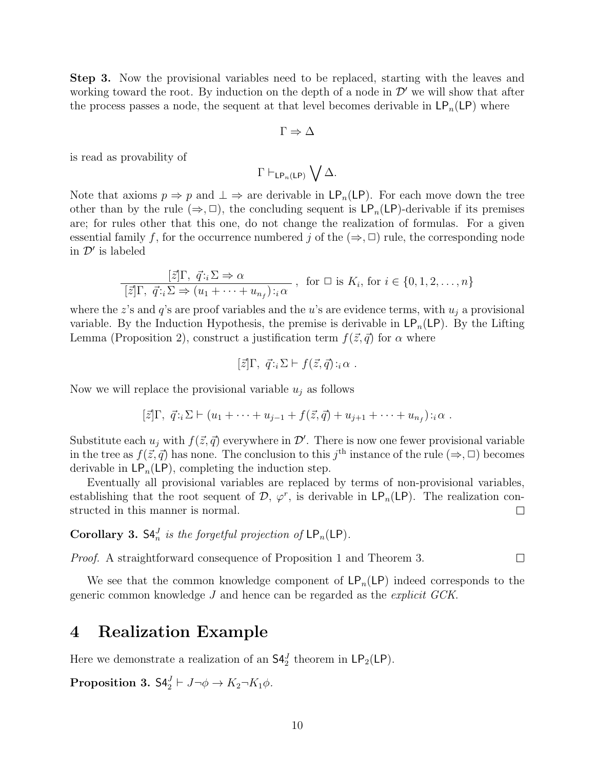Step 3. Now the provisional variables need to be replaced, starting with the leaves and working toward the root. By induction on the depth of a node in  $\mathcal{D}'$  we will show that after the process passes a node, the sequent at that level becomes derivable in  $\mathsf{LP}_n(\mathsf{LP})$  where

$$
\Gamma \Rightarrow \Delta
$$

is read as provability of

$$
\Gamma \vdash_{\mathsf{LP}_n(\mathsf{LP})} \bigvee \Delta.
$$

Note that axioms  $p \Rightarrow p$  and  $\perp \Rightarrow$  are derivable in  $\mathsf{LP}_n(\mathsf{LP})$ . For each move down the tree other than by the rule  $(\Rightarrow, \Box)$ , the concluding sequent is  $\mathsf{LP}_n(\mathsf{LP})$ -derivable if its premises are; for rules other that this one, do not change the realization of formulas. For a given essential family f, for the occurrence numbered j of the  $(\Rightarrow, \Box)$  rule, the corresponding node in  $\mathcal{D}'$  is labeled

$$
\frac{[\vec{z}]\Gamma, \ \vec{q}:\iota \Sigma \Rightarrow \alpha}{[\vec{z}]\Gamma, \ \vec{q}:\iota \Sigma \Rightarrow (u_1 + \cdots + u_{n_f}):\iota \alpha}, \text{ for } \square \text{ is } K_i, \text{ for } i \in \{0, 1, 2, \dots, n\}
$$

where the z's and  $q$ 's are proof variables and the u's are evidence terms, with  $u_i$  a provisional variable. By the Induction Hypothesis, the premise is derivable in  $\mathsf{LP}_n(\mathsf{LP})$ . By the Lifting Lemma (Proposition 2), construct a justification term  $f(\vec{z}, \vec{q})$  for  $\alpha$  where

$$
[\vec{z}]\Gamma, \ \vec{q} :_i \Sigma \vdash f(\vec{z}, \vec{q}) :_i \alpha .
$$

Now we will replace the provisional variable  $u_i$  as follows

$$
[\vec{z}]\Gamma, \ \vec{q} \cdot i \Sigma \vdash (u_1 + \cdots + u_{j-1} + f(\vec{z}, \vec{q}) + u_{j+1} + \cdots + u_{n_f}) \cdot i \alpha
$$
.

Substitute each  $u_j$  with  $f(\vec{z}, \vec{q})$  everywhere in  $\mathcal{D}'$ . There is now one fewer provisional variable in the tree as  $f(\vec{z}, \vec{q})$  has none. The conclusion to this j<sup>th</sup> instance of the rule  $(\Rightarrow, \Box)$  becomes derivable in  $\mathsf{LP}_n(\mathsf{LP})$ , completing the induction step.

Eventually all provisional variables are replaced by terms of non-provisional variables, establishing that the root sequent of  $\mathcal{D}, \varphi^r$ , is derivable in  $\mathsf{LP}_n(\mathsf{LP})$ . The realization constructed in this manner is normal.  $\Box$ 

**Corollary 3.**  $\mathsf{S4}_{n}^{J}$  is the forgetful projection of  $\mathsf{LP}_{n}(\mathsf{LP})$ .

Proof. A straightforward consequence of Proposition 1 and Theorem 3.  $\Box$ 

We see that the common knowledge component of  $\mathsf{LP}_n(\mathsf{LP})$  indeed corresponds to the generic common knowledge J and hence can be regarded as the explicit GCK.

#### 4 Realization Example

Here we demonstrate a realization of an  $\mathsf{S4}^J_2$  theorem in  $\mathsf{LP}_2(\mathsf{LP})$ .

 $\textbf{Proposition 3.}\;\mathsf{S4}^J_2\vdash J\neg\phi\to K_2\neg K_1\phi.$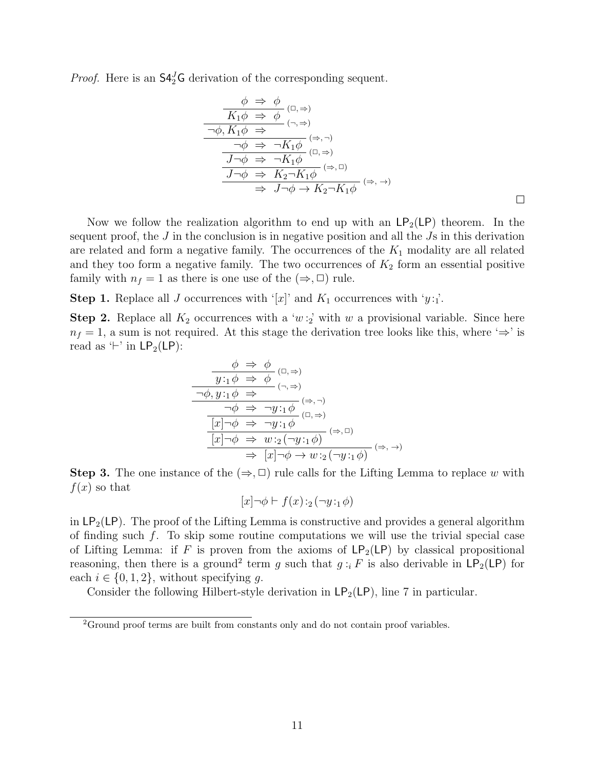*Proof.* Here is an  $\mathsf{S4}^J_2\mathsf{G}$  derivation of the corresponding sequent.

$$
\frac{\phi \Rightarrow \phi}{K_1 \phi \Rightarrow \phi} (\Box, \Rightarrow)
$$
\n
$$
\frac{\neg \phi, K_1 \phi \Rightarrow}{\neg \phi, K_1 \phi \Rightarrow} (\neg, \Rightarrow)
$$
\n
$$
\frac{\neg \phi \Rightarrow \neg K_1 \phi}{J \neg \phi \Rightarrow \neg K_1 \phi} (\Box, \Rightarrow)
$$
\n
$$
\frac{J \neg \phi \Rightarrow K_2 \neg K_1 \phi}{J \neg \phi \Rightarrow K_2 \neg K_1 \phi} (\Rightarrow, \Box)
$$
\n
$$
\Rightarrow J \neg \phi \rightarrow K_2 \neg K_1 \phi
$$
\n
$$
(\Rightarrow, \rightarrow)
$$

Now we follow the realization algorithm to end up with an  $\mathsf{LP}_2(\mathsf{LP})$  theorem. In the sequent proof, the  $J$  in the conclusion is in negative position and all the  $J\bar{s}$  in this derivation are related and form a negative family. The occurrences of the  $K_1$  modality are all related and they too form a negative family. The two occurrences of  $K_2$  form an essential positive family with  $n_f = 1$  as there is one use of the  $(\Rightarrow, \Box)$  rule.

**Step 1.** Replace all J occurrences with '[x]' and  $K_1$  occurrences with 'y:<sub>1</sub>'.

**Step 2.** Replace all  $K_2$  occurrences with a 'w:<sub>2</sub>' with w a provisional variable. Since here  $n_f = 1$ , a sum is not required. At this stage the derivation tree looks like this, where ' $\Rightarrow$ ' is read as  $\vdash'$  in  $\mathsf{LP}_2(\mathsf{LP})$ :

$$
\begin{array}{c}\n\phi \Rightarrow \phi \\
\hline\ny: \phi \Rightarrow \phi \\
\hline\n\rightarrow 0, y: \phi \Rightarrow\n\end{array} \quad (\neg, \Rightarrow)
$$
\n
$$
\begin{array}{c}\n\hline\n\rightarrow 0, y: \phi \Rightarrow \\
\hline\n\rightarrow \phi \Rightarrow \neg y: \phi \Rightarrow \\
\hline\n\hline\n[x] \rightarrow \phi \Rightarrow \neg y: \phi \Rightarrow \\
\hline\n[x] \rightarrow \phi \Rightarrow \neg y: \phi \Rightarrow \\
\hline\n\hline\n\end{array} \quad (\Rightarrow, \neg) \\
\hline\n\begin{array}{c}\n\hline\n\rightarrow 0, \Rightarrow \neg y: \phi \Rightarrow \\
\hline\n\hline\n\end{array} \quad (\Rightarrow, \neg) \\
\hline\n\Rightarrow \hline\n\hline\n\end{array}
$$

**Step 3.** The one instance of the  $(\Rightarrow, \Box)$  rule calls for the Lifting Lemma to replace w with  $f(x)$  so that

$$
[x] \neg \phi \vdash f(x) :_2 (\neg y :_1 \phi)
$$

in  $LP_2(LP)$ . The proof of the Lifting Lemma is constructive and provides a general algorithm of finding such f. To skip some routine computations we will use the trivial special case of Lifting Lemma: if F is proven from the axioms of  $\mathsf{LP}_2(\mathsf{LP})$  by classical propositional reasoning, then there is a ground<sup>2</sup> term g such that  $g:_{i} F$  is also derivable in  $\mathsf{LP}_2(\mathsf{LP})$  for each  $i \in \{0, 1, 2\}$ , without specifying g.

Consider the following Hilbert-style derivation in  $\mathsf{LP}_2(\mathsf{LP})$ , line 7 in particular.

<sup>2</sup>Ground proof terms are built from constants only and do not contain proof variables.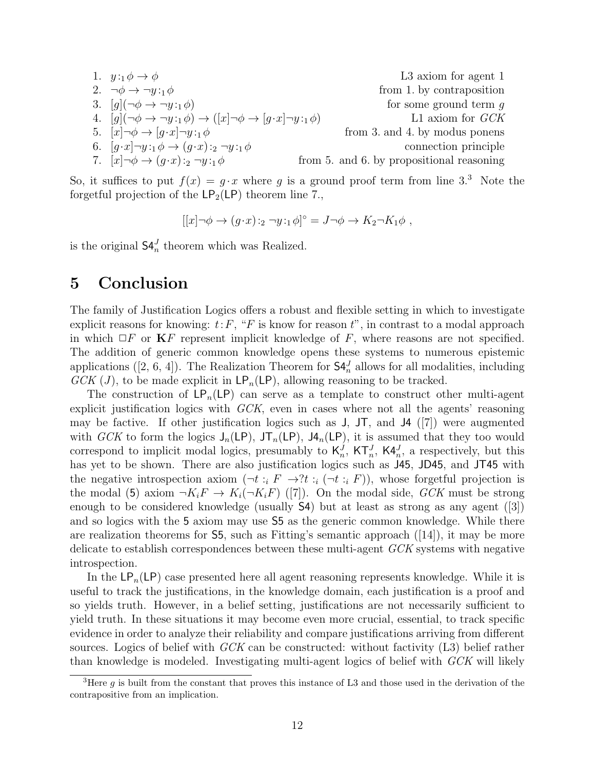1. 
$$
y:_{1}\phi \rightarrow \phi
$$
  
\n2.  $\neg \phi \rightarrow \neg y:_{1}\phi$   
\n3.  $[g](\neg \phi \rightarrow \neg y:_{1}\phi)$  from 1. by contraposition  
\n4.  $[g](\neg \phi \rightarrow \neg y:_{1}\phi) \rightarrow ([x] \neg \phi \rightarrow [g \cdot x] \neg y:_{1}\phi)$  for some ground term  $g$   
\n5.  $[x] \neg \phi \rightarrow [g \cdot x] \neg y:_{1}\phi$  from 3. and 4. by modus ponens  
\n6.  $[g \cdot x] \neg y:_{1}\phi \rightarrow (g \cdot x):_{2} \neg y:_{1}\phi$  from 5. and 6. by propositional reasoning

So, it suffices to put  $f(x) = g \cdot x$  where g is a ground proof term from line 3.<sup>3</sup> Note the forgetful projection of the  $\text{LP}_2(\text{LP})$  theorem line 7.,

$$
[[x]\neg\phi\rightarrow (g\cdot x)\cdot_2\neg y\cdot_1\phi]^\circ=J\neg\phi\rightarrow K_2\neg K_1\phi,
$$

is the original  $\mathsf{S4}_{n}^{J}$  theorem which was Realized.

#### 5 Conclusion

The family of Justification Logics offers a robust and flexible setting in which to investigate explicit reasons for knowing:  $t: F, "F$  is know for reason  $t$ ", in contrast to a modal approach in which  $\Box F$  or  $\mathbf{K} F$  represent implicit knowledge of F, where reasons are not specified. The addition of generic common knowledge opens these systems to numerous epistemic applications ([2, 6, 4]). The Realization Theorem for  $\mathsf{S4}_n^J$  allows for all modalities, including  $GCK (J)$ , to be made explicit in  $\mathsf{LP}_n(\mathsf{LP})$ , allowing reasoning to be tracked.

The construction of  $\mathsf{LP}_n(\mathsf{LP})$  can serve as a template to construct other multi-agent explicit justification logics with GCK, even in cases where not all the agents' reasoning may be factive. If other justification logics such as  $J$ ,  $J\mathsf{T}$ , and  $J\mathsf{4}$  ([7]) were augmented with GCK to form the logics  $J_n(LP)$ ,  $JT_n(LP)$ ,  $J4_n(LP)$ , it is assumed that they too would correspond to implicit modal logics, presumably to  $\mathsf{K}_n^J$ ,  $\mathsf{KT}_n^J$ ,  $\mathsf{K4}_n^J$ , a respectively, but this has yet to be shown. There are also justification logics such as  $J45$ , JD45, and JT45 with the negative introspection axiom  $(\neg t : i \ F \rightarrow ?t : i (\neg t : i \ F))$ , whose forgetful projection is the modal (5) axiom  $\neg K_iF \to K_i(\neg K_iF)$  ([7]). On the modal side, GCK must be strong enough to be considered knowledge (usually S4) but at least as strong as any agent ([3]) and so logics with the 5 axiom may use S5 as the generic common knowledge. While there are realization theorems for  $\mathsf{S}5$ , such as Fitting's semantic approach ([14]), it may be more delicate to establish correspondences between these multi-agent GCK systems with negative introspection.

In the  $\mathsf{LP}_n(\mathsf{LP})$  case presented here all agent reasoning represents knowledge. While it is useful to track the justifications, in the knowledge domain, each justification is a proof and so yields truth. However, in a belief setting, justifications are not necessarily sufficient to yield truth. In these situations it may become even more crucial, essential, to track specific evidence in order to analyze their reliability and compare justifications arriving from different sources. Logics of belief with  $GCK$  can be constructed: without factivity  $(L3)$  belief rather than knowledge is modeled. Investigating multi-agent logics of belief with GCK will likely

<sup>&</sup>lt;sup>3</sup>Here g is built from the constant that proves this instance of L3 and those used in the derivation of the contrapositive from an implication.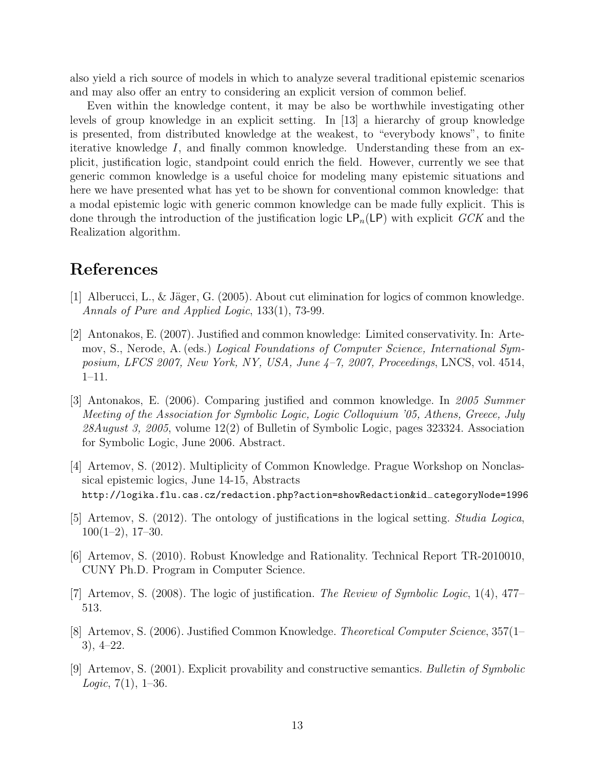also yield a rich source of models in which to analyze several traditional epistemic scenarios and may also offer an entry to considering an explicit version of common belief.

Even within the knowledge content, it may be also be worthwhile investigating other levels of group knowledge in an explicit setting. In [13] a hierarchy of group knowledge is presented, from distributed knowledge at the weakest, to "everybody knows", to finite iterative knowledge I, and finally common knowledge. Understanding these from an explicit, justification logic, standpoint could enrich the field. However, currently we see that generic common knowledge is a useful choice for modeling many epistemic situations and here we have presented what has yet to be shown for conventional common knowledge: that a modal epistemic logic with generic common knowledge can be made fully explicit. This is done through the introduction of the justification logic  $\mathsf{LP}_n(\mathsf{LP})$  with explicit  $GCK$  and the Realization algorithm.

#### References

- [1] Alberucci, L., & J¨ager, G. (2005). About cut elimination for logics of common knowledge. Annals of Pure and Applied Logic, 133(1), 73-99.
- [2] Antonakos, E. (2007). Justified and common knowledge: Limited conservativity. In: Artemov, S., Nerode, A. (eds.) Logical Foundations of Computer Science, International Symposium, LFCS 2007, New York, NY, USA, June 4–7, 2007, Proceedings, LNCS, vol. 4514, 1–11.
- [3] Antonakos, E. (2006). Comparing justified and common knowledge. In 2005 Summer Meeting of the Association for Symbolic Logic, Logic Colloquium '05, Athens, Greece, July 28August 3, 2005, volume 12(2) of Bulletin of Symbolic Logic, pages 323324. Association for Symbolic Logic, June 2006. Abstract.
- [4] Artemov, S. (2012). Multiplicity of Common Knowledge. Prague Workshop on Nonclassical epistemic logics, June 14-15, Abstracts http://logika.flu.cas.cz/redaction.php?action=showRedaction&id−categoryNode=1996
- [5] Artemov, S. (2012). The ontology of justifications in the logical setting. Studia Logica,  $100(1-2)$ , 17-30.
- [6] Artemov, S. (2010). Robust Knowledge and Rationality. Technical Report TR-2010010, CUNY Ph.D. Program in Computer Science.
- [7] Artemov, S. (2008). The logic of justification. The Review of Symbolic Logic, 1(4), 477– 513.
- [8] Artemov, S. (2006). Justified Common Knowledge. Theoretical Computer Science, 357(1– 3), 4–22.
- [9] Artemov, S. (2001). Explicit provability and constructive semantics. Bulletin of Symbolic *Logic*,  $7(1)$ ,  $1-36$ .